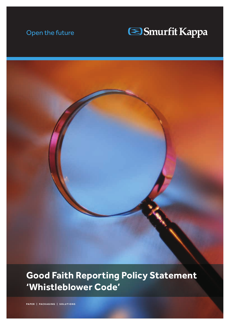### Open the future

# Smurfit Kappa

**Good Faith Reporting Policy Statement 'Whistleblower Code'** 

**PAPER | PACKAGING | SOLUTIONS**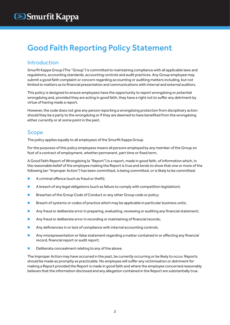## Good Faith Reporting Policy Statement

#### Introduction

Smurfit Kappa Group (The "Group") is committed to maintaining compliance with all applicable laws and regulations, accounting standards, accounting controls and audit practices. Any Group employee may submit a good faith complaint or concern regarding accounting or auditing matters including, but not limited to matters as to financial presentation and communications with internal and external auditors.

This policy is designed to ensure employees have the opportunity to report wrongdoing or potential wrongdoing and, provided they are acting in good faith, they have a right not to suffer any detriment by virtue of having made a report.

However, the code does not give any person reporting a wrongdoing protection from disciplinary action should they be a party to the wrongdoing or if they are deemed to have benefited from the wrongdoing either currently or at some point in the past.

#### Scope

The policy applies equally to all employees of the Smurfit Kappa Group.

For the purposes of this policy employees means all persons employed by any member of the Group on foot of a contract of employment, whether permanent, part time or fixed term.

A Good Faith Report of Wrongdoing (a "Report") is a report, made in good faith, of information which, in the reasonable belief of the employee making the Report is true and tends to show that one or more of the following (an "lmproper Action") has been committed, is being committed, or is likely to be committed:

- $\blacksquare$  A criminal offence (such as fraud or theft);
- **n** A breach of any legal obligations (such as failure to comply with competition legislation);
- **n** Breaches of the Group Code of Conduct or any other Group code or policy;
- **n** Breach of systems or codes of practice which may be applicable in particular business units;
- **n** Any fraud or deliberate error in preparing, evaluating, reviewing or auditing any financial statement;
- **n** Any fraud or deliberate error in recording or maintaining of financial records;
- $\blacksquare$  Any deficiencies in or lack of compliance with internal accounting controls;
- **n** Any misrepresentation or false statement regarding a matter contained in or affecting any financial record, financial report or audit report;
- $\blacksquare$  Deliberate concealment relating to any of the above.

The Improper Action may have occurred in the past, be currently occurring or be likely to occur. Reports should be made as promptly as practicable. No employee will suffer any victimisation or detriment for making a Report provided the Report is made in good faith and where the employee concerned reasonably believes that the information disclosed and any allegation contained in the Report are substantially true.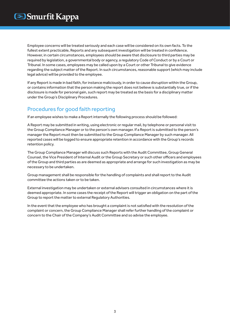Employee concerns will be treated seriously and each case will be considered on its own facts. To the fullest extent practicable, Reports and any subsequent investigation will be treated in confidence. However, in certain circumstances, employees should be aware that disclosure to third parties may be required by legislation, a governmental body or agency, a regulatory Code of Conduct or by a Court or Tribunal. In some cases, employees may be called upon by a Court or other Tribunal to give evidence regarding the subject matter of the Report. In such circumstances, reasonable support (which may include legal advice) will be provided to the employee.

If any Report is made in bad faith, for instance maliciously, in order to cause disruption within the Group, or contains information that the person making the report does not believe is substantially true, or if the disclosure is made for personal gain, such report may be treated as the basis for a disciplinary matter under the Group's Disciplinary Procedures.

#### Procedures for good faith reporting

If an employee wishes to make a Report internally the following process should be followed:

A Report may be submitted in writing, using electronic or regular mail, by telephone or personal visit to the Group Compliance Manager or to the person's own manager. If a Report is submitted to the person's manager the Report must then be submitted to the Group Compliance Manager by such manager. All reported cases will be logged to ensure appropriate retention in accordance with the Group's records retention policy.

The Group Compliance Manager will discuss such Reports with the Audit Committee, Group General Counsel, the Vice President of Internal Audit or the Group Secretary or such other officers and employees of the Group and third parties as are deemed as appropriate and arrange for such investigation as may be necessary to be undertaken.

Group management shall be responsible for the handling of complaints and shall report to the Audit committee the actions taken or to be taken.

External investigation may be undertaken or external advisers consulted in circumstances where it is deemed appropriate. In some cases the receipt of the Report will trigger an obligation on the part of the Group to report the matter to external Regulatory Authorities.

In the event that the employee who has brought a complaint is not satisfied with the resolution of the complaint or concern, the Group Compliance Manager shall refer further handling of the complaint or concern to the Chair of the Company's Audit Committee and so advise the employee.